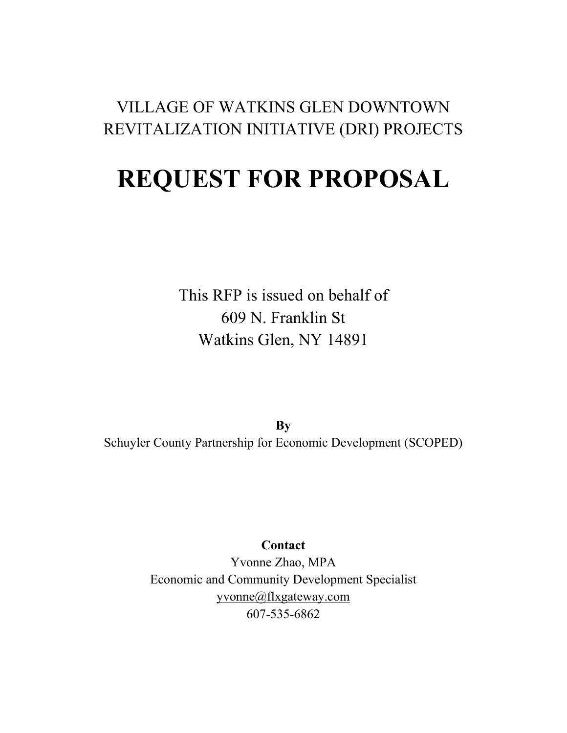#### VILLAGE OF WATKINS GLEN DOWNTOWN REVITALIZATION INITIATIVE (DRI) PROJECTS

# **REQUEST FOR PROPOSAL**

This RFP is issued on behalf of 609 N. Franklin St Watkins Glen, NY 14891

**By**  Schuyler County Partnership for Economic Development (SCOPED)

#### **Contact**

Yvonne Zhao, MPA Economic and Community Development Specialist [yvonne@flxgateway.com](mailto:yvonne@flxgateway.com) 607-535-6862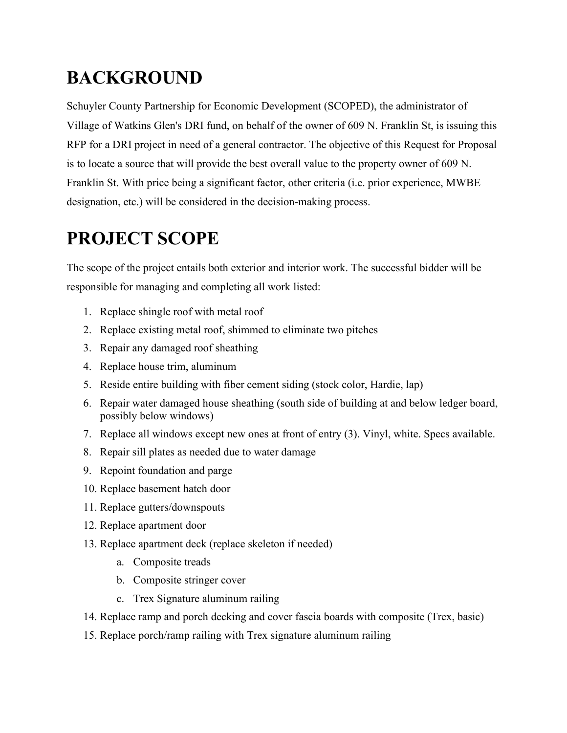# **BACKGROUND**

Schuyler County Partnership for Economic Development (SCOPED), the administrator of Village of Watkins Glen's DRI fund, on behalf of the owner of 609 N. Franklin St, is issuing this RFP for a DRI project in need of a general contractor. The objective of this Request for Proposal is to locate a source that will provide the best overall value to the property owner of 609 N. Franklin St. With price being a significant factor, other criteria (i.e. prior experience, MWBE designation, etc.) will be considered in the decision-making process.

# **PROJECT SCOPE**

The scope of the project entails both exterior and interior work. The successful bidder will be responsible for managing and completing all work listed:

- 1. Replace shingle roof with metal roof
- 2. Replace existing metal roof, shimmed to eliminate two pitches
- 3. Repair any damaged roof sheathing
- 4. Replace house trim, aluminum
- 5. Reside entire building with fiber cement siding (stock color, Hardie, lap)
- 6. Repair water damaged house sheathing (south side of building at and below ledger board, possibly below windows)
- 7. Replace all windows except new ones at front of entry (3). Vinyl, white. Specs available.
- 8. Repair sill plates as needed due to water damage
- 9. Repoint foundation and parge
- 10. Replace basement hatch door
- 11. Replace gutters/downspouts
- 12. Replace apartment door
- 13. Replace apartment deck (replace skeleton if needed)
	- a. Composite treads
	- b. Composite stringer cover
	- c. Trex Signature aluminum railing
- 14. Replace ramp and porch decking and cover fascia boards with composite (Trex, basic)
- 15. Replace porch/ramp railing with Trex signature aluminum railing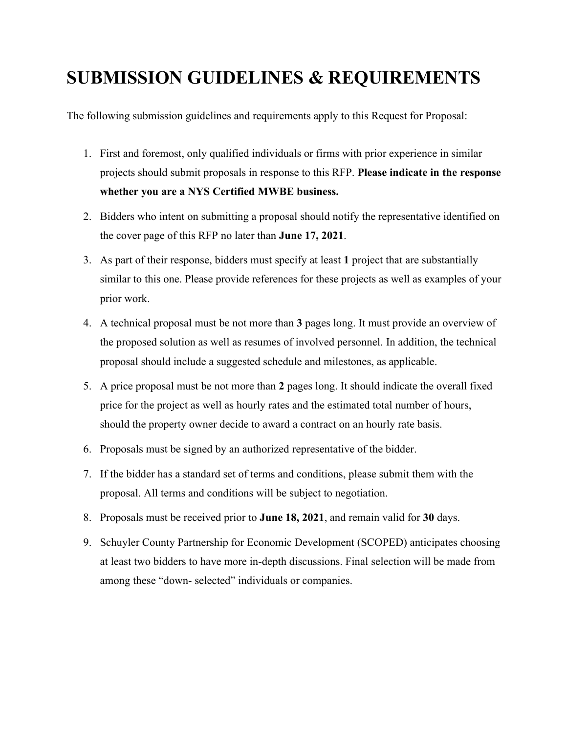### **SUBMISSION GUIDELINES & REQUIREMENTS**

The following submission guidelines and requirements apply to this Request for Proposal:

- 1. First and foremost, only qualified individuals or firms with prior experience in similar projects should submit proposals in response to this RFP. **Please indicate in the response whether you are a NYS Certified MWBE business.**
- 2. Bidders who intent on submitting a proposal should notify the representative identified on the cover page of this RFP no later than **June 17, 2021**.
- 3. As part of their response, bidders must specify at least **1** project that are substantially similar to this one. Please provide references for these projects as well as examples of your prior work.
- 4. A technical proposal must be not more than **3** pages long. It must provide an overview of the proposed solution as well as resumes of involved personnel. In addition, the technical proposal should include a suggested schedule and milestones, as applicable.
- 5. A price proposal must be not more than **2** pages long. It should indicate the overall fixed price for the project as well as hourly rates and the estimated total number of hours, should the property owner decide to award a contract on an hourly rate basis.
- 6. Proposals must be signed by an authorized representative of the bidder.
- 7. If the bidder has a standard set of terms and conditions, please submit them with the proposal. All terms and conditions will be subject to negotiation.
- 8. Proposals must be received prior to **June 18, 2021**, and remain valid for **30** days.
- 9. Schuyler County Partnership for Economic Development (SCOPED) anticipates choosing at least two bidders to have more in-depth discussions. Final selection will be made from among these "down- selected" individuals or companies.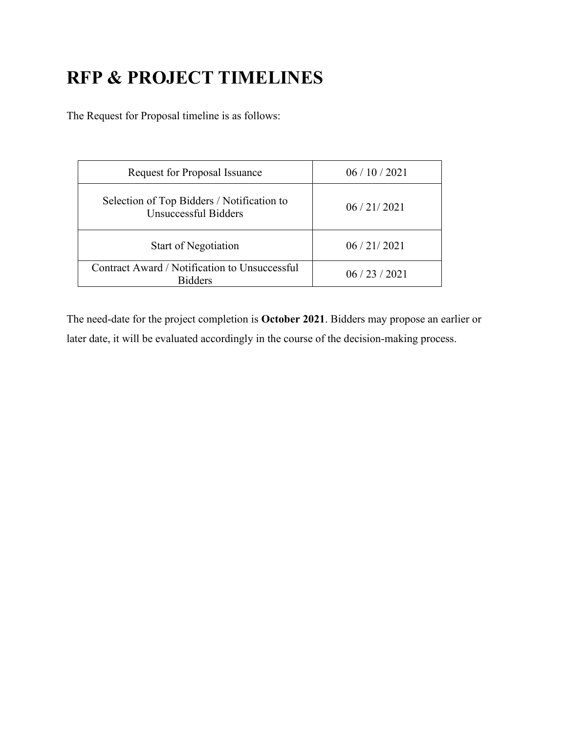# **RFP & PROJECT TIMELINES**

The Request for Proposal timeline is as follows:

| <b>Request for Proposal Issuance</b>                               | 06/10/2021 |
|--------------------------------------------------------------------|------------|
| Selection of Top Bidders / Notification to<br>Unsuccessful Bidders | 06/21/2021 |
| <b>Start of Negotiation</b>                                        | 06/21/2021 |
| Contract Award / Notification to Unsuccessful<br><b>Ridders</b>    | 06/23/2021 |

The need-date for the project completion is **October 2021**. Bidders may propose an earlier or later date, it will be evaluated accordingly in the course of the decision-making process.